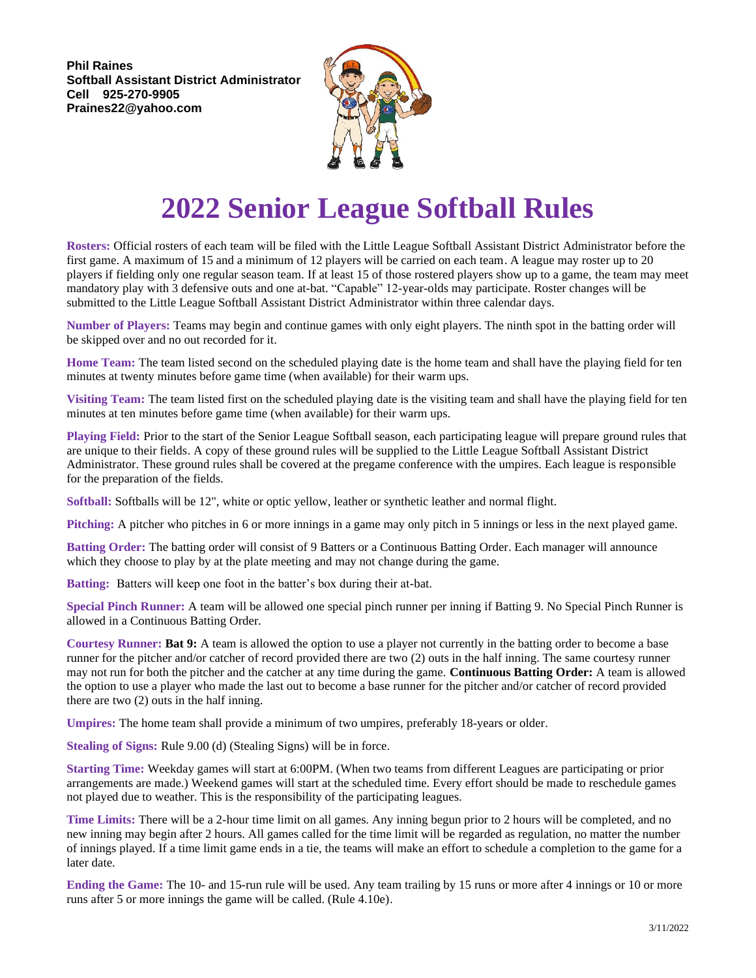**Phil Raines Softball Assistant District Administrator Cell 925-270-9905 Praines22@yahoo.com**



## **2022 Senior League Softball Rules**

**Rosters:** Official rosters of each team will be filed with the Little League Softball Assistant District Administrator before the first game. A maximum of 15 and a minimum of 12 players will be carried on each team. A league may roster up to 20 players if fielding only one regular season team. If at least 15 of those rostered players show up to a game, the team may meet mandatory play with 3 defensive outs and one at-bat. "Capable" 12-year-olds may participate. Roster changes will be submitted to the Little League Softball Assistant District Administrator within three calendar days.

**Number of Players:** Teams may begin and continue games with only eight players. The ninth spot in the batting order will be skipped over and no out recorded for it.

**Home Team:** The team listed second on the scheduled playing date is the home team and shall have the playing field for ten minutes at twenty minutes before game time (when available) for their warm ups.

**Visiting Team:** The team listed first on the scheduled playing date is the visiting team and shall have the playing field for ten minutes at ten minutes before game time (when available) for their warm ups.

**Playing Field:** Prior to the start of the Senior League Softball season, each participating league will prepare ground rules that are unique to their fields. A copy of these ground rules will be supplied to the Little League Softball Assistant District Administrator. These ground rules shall be covered at the pregame conference with the umpires. Each league is responsible for the preparation of the fields.

**Softball:** Softballs will be 12", white or optic yellow, leather or synthetic leather and normal flight.

**Pitching:** A pitcher who pitches in 6 or more innings in a game may only pitch in 5 innings or less in the next played game.

**Batting Order:** The batting order will consist of 9 Batters or a Continuous Batting Order. Each manager will announce which they choose to play by at the plate meeting and may not change during the game.

**Batting:** Batters will keep one foot in the batter's box during their at-bat.

**Special Pinch Runner:** A team will be allowed one special pinch runner per inning if Batting 9. No Special Pinch Runner is allowed in a Continuous Batting Order.

**Courtesy Runner: Bat 9:** A team is allowed the option to use a player not currently in the batting order to become a base runner for the pitcher and/or catcher of record provided there are two (2) outs in the half inning. The same courtesy runner may not run for both the pitcher and the catcher at any time during the game. **Continuous Batting Order:** A team is allowed the option to use a player who made the last out to become a base runner for the pitcher and/or catcher of record provided there are two (2) outs in the half inning.

**Umpires:** The home team shall provide a minimum of two umpires, preferably 18-years or older.

**Stealing of Signs:** Rule 9.00 (d) (Stealing Signs) will be in force.

**Starting Time:** Weekday games will start at 6:00PM. (When two teams from different Leagues are participating or prior arrangements are made.) Weekend games will start at the scheduled time. Every effort should be made to reschedule games not played due to weather. This is the responsibility of the participating leagues.

**Time Limits:** There will be a 2-hour time limit on all games. Any inning begun prior to 2 hours will be completed, and no new inning may begin after 2 hours. All games called for the time limit will be regarded as regulation, no matter the number of innings played. If a time limit game ends in a tie, the teams will make an effort to schedule a completion to the game for a later date.

**Ending the Game:** The 10- and 15-run rule will be used. Any team trailing by 15 runs or more after 4 innings or 10 or more runs after 5 or more innings the game will be called. (Rule 4.10e).